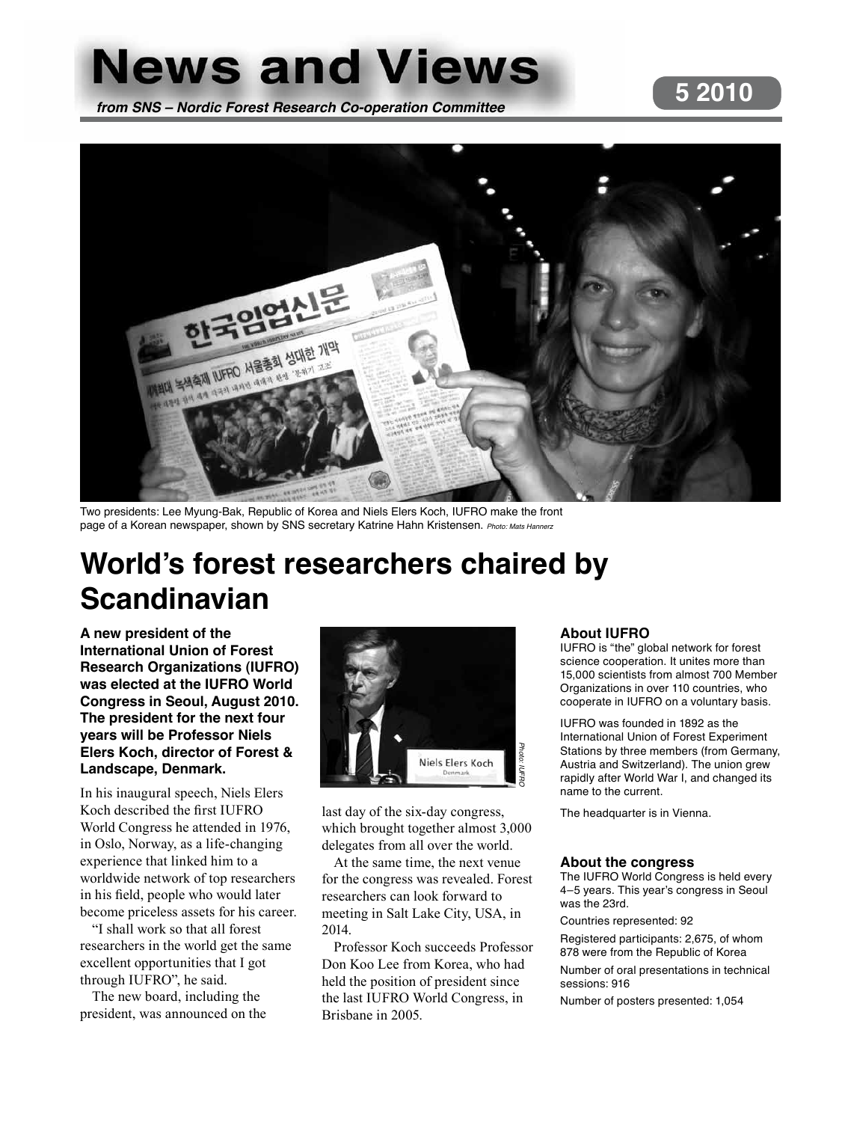# **News and Views 5 2010 from SNS – Nordic Forest Research Co-operation Committee**



Two presidents: Lee Myung-Bak, Republic of Korea and Niels Elers Koch, IUFRO make the front page of a Korean newspaper, shown by SNS secretary Katrine Hahn Kristensen. Photo: Mats Hannerz

# **World's forest researchers chaired by Scandinavian**

**A new president of the International Union of Forest Research Organizations (IUFRO) was elected at the IUFRO World Congress in Seoul, August 2010. The president for the next four years will be Professor Niels Elers Koch, director of Forest & Landscape, Denmark.**

In his inaugural speech, Niels Elers Koch described the first IUFRO World Congress he attended in 1976, in Oslo, Norway, as a life-changing experience that linked him to a worldwide network of top researchers in his field, people who would later become priceless assets for his career.

"I shall work so that all forest researchers in the world get the same excellent opportunities that I got through IUFRO", he said.

The new board, including the president, was announced on the



last day of the six-day congress, which brought together almost 3,000 delegates from all over the world.

At the same time, the next venue for the congress was revealed. Forest researchers can look forward to meeting in Salt Lake City, USA, in 2014.

Professor Koch succeeds Professor Don Koo Lee from Korea, who had held the position of president since the last IUFRO World Congress, in Brisbane in 2005.

#### **About IUFRO**

IUFRO is "the" global network for forest science cooperation. It unites more than 15,000 scientists from almost 700 Member Organizations in over 110 countries, who cooperate in IUFRO on a voluntary basis.

IUFRO was founded in 1892 as the International Union of Forest Experiment Stations by three members (from Germany, Austria and Switzerland). The union grew rapidly after World War I, and changed its name to the current.

The headquarter is in Vienna.

#### **About the congress**

The IUFRO World Congress is held every 4–5 years. This year's congress in Seoul was the 23rd.

Countries represented: 92

Registered participants: 2,675, of whom 878 were from the Republic of Korea Number of oral presentations in technical sessions: 916

Number of posters presented: 1,054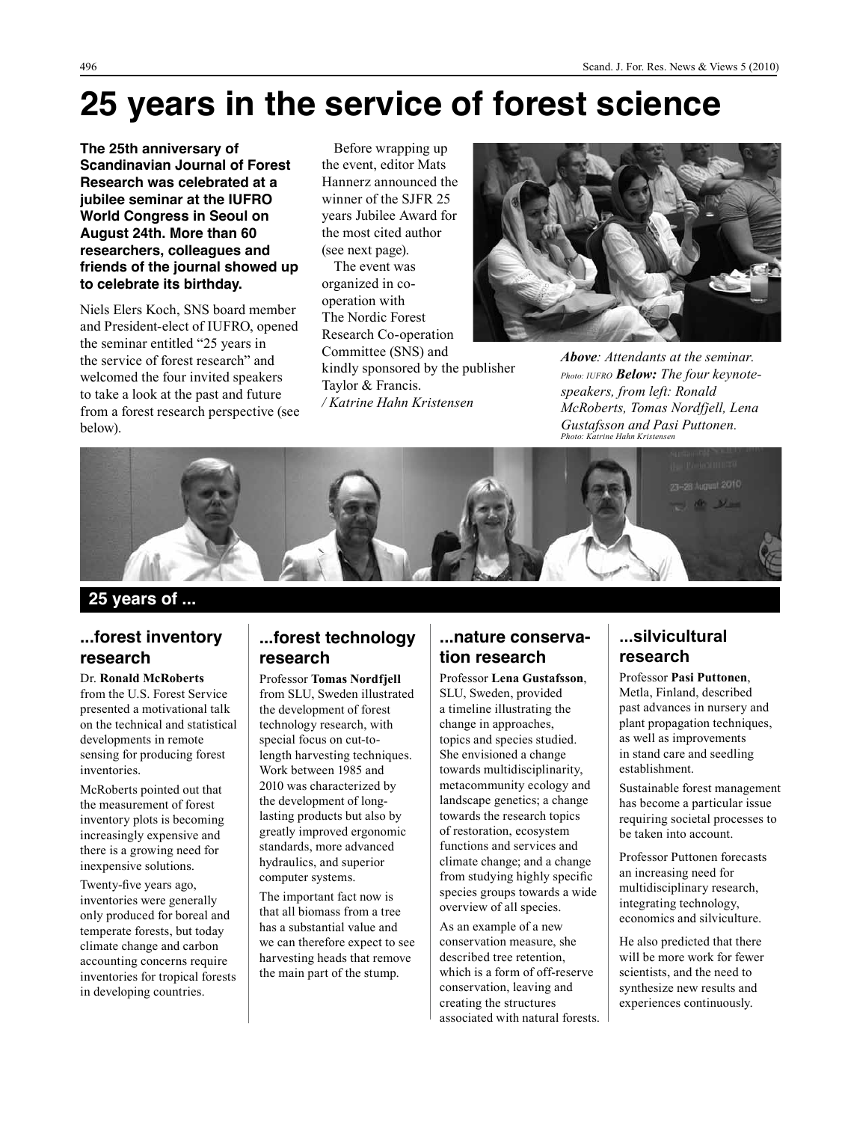# **25 years in the service of forest science**

**The 25th anniversary of Scandinavian Journal of Forest Research was celebrated at a jubilee seminar at the IUFRO World Congress in Seoul on August 24th. More than 60 researchers, colleagues and friends of the journal showed up to celebrate its birthday.**

Niels Elers Koch, SNS board member and President-elect of IUFRO, opened the seminar entitled "25 years in the service of forest research" and welcomed the four invited speakers to take a look at the past and future from a forest research perspective (see below).

Before wrapping up the event, editor Mats Hannerz announced the winner of the SJFR 25 years Jubilee Award for the most cited author (see next page). The event was organized in cooperation with

The Nordic Forest Research Co-operation Committee (SNS) and kindly sponsored by the publisher Taylor & Francis. */ Katrine Hahn Kristensen*



*Above: Attendants at the seminar. Photo: IUFRO Below: The four keynotespeakers, from left: Ronald McRoberts, Tomas Nordfjell, Lena Gustafsson and Pasi Puttonen. Photo: Katrine Hahn Kristensen*



**25 years of ...**

#### **...forest inventory research**

Dr. **Ronald McRoberts** from the U.S. Forest Service presented a motivational talk on the technical and statistical developments in remote sensing for producing forest inventories.

McRoberts pointed out that the measurement of forest inventory plots is becoming increasingly expensive and there is a growing need for inexpensive solutions.

Twenty-five years ago, inventories were generally only produced for boreal and temperate forests, but today climate change and carbon accounting concerns require inventories for tropical forests in developing countries.

#### **...forest technology research**

Professor **Tomas Nordfjell**  from SLU, Sweden illustrated the development of forest technology research, with special focus on cut-tolength harvesting techniques. Work between 1985 and 2010 was characterized by the development of longlasting products but also by greatly improved ergonomic standards, more advanced hydraulics, and superior computer systems.

The important fact now is that all biomass from a tree has a substantial value and we can therefore expect to see harvesting heads that remove the main part of the stump.

#### **...nature conservation research**

Professor **Lena Gustafsson**, SLU, Sweden, provided a timeline illustrating the change in approaches, topics and species studied. She envisioned a change towards multidisciplinarity, metacommunity ecology and landscape genetics; a change towards the research topics of restoration, ecosystem functions and services and climate change; and a change from studying highly specific species groups towards a wide overview of all species.

As an example of a new conservation measure, she described tree retention, which is a form of off-reserve conservation, leaving and creating the structures associated with natural forests.

#### **...silvicultural research**

Professor **Pasi Puttonen**, Metla, Finland, described past advances in nursery and plant propagation techniques, as well as improvements in stand care and seedling establishment.

Sustainable forest management has become a particular issue requiring societal processes to be taken into account.

Professor Puttonen forecasts an increasing need for multidisciplinary research, integrating technology, economics and silviculture.

He also predicted that there will be more work for fewer scientists, and the need to synthesize new results and experiences continuously.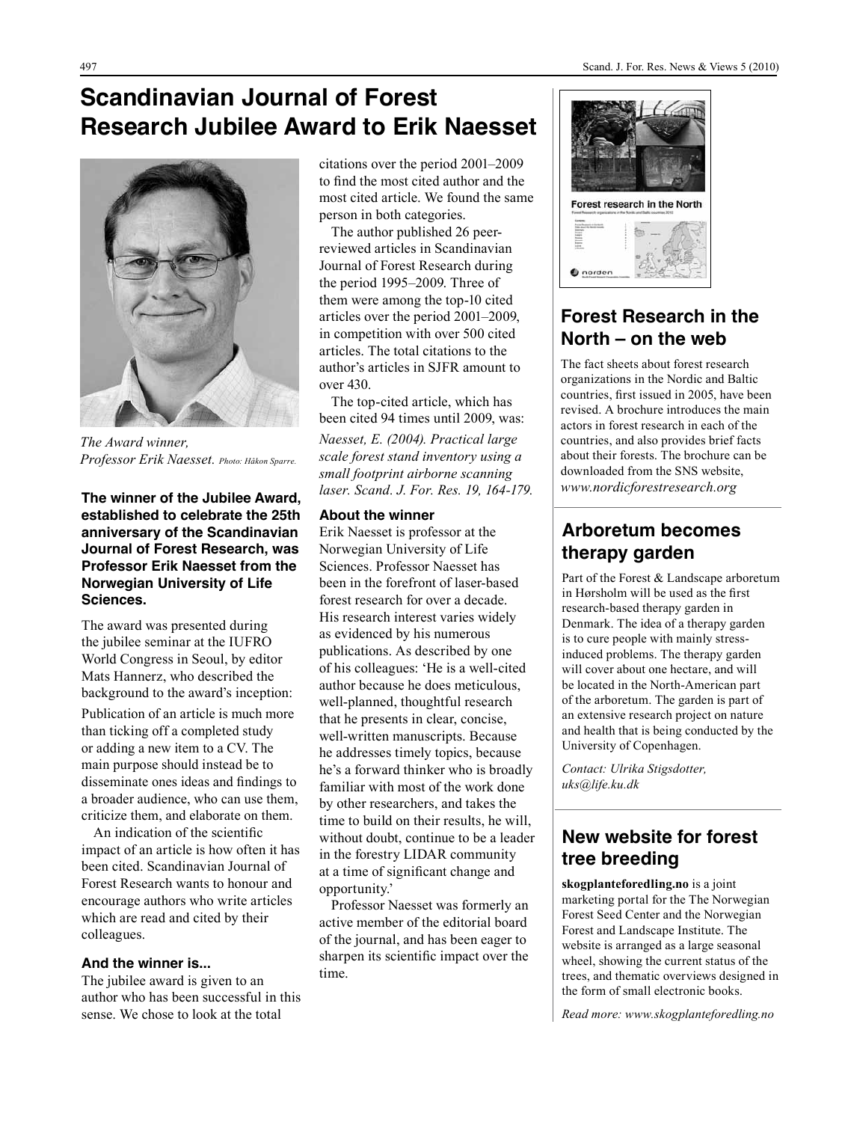# **Scandinavian Journal of Forest Research Jubilee Award to Erik Naesset**



*The Award winner, Professor Erik Naesset. Photo: Håkon Sparre.*

**The winner of the Jubilee Award, established to celebrate the 25th anniversary of the Scandinavian Journal of Forest Research, was Professor Erik Naesset from the Norwegian University of Life Sciences.** 

The award was presented during the jubilee seminar at the IUFRO World Congress in Seoul, by editor Mats Hannerz, who described the background to the award's inception: Publication of an article is much more than ticking off a completed study or adding a new item to a CV. The main purpose should instead be to disseminate ones ideas and findings to a broader audience, who can use them, criticize them, and elaborate on them.

An indication of the scientific impact of an article is how often it has been cited. Scandinavian Journal of Forest Research wants to honour and encourage authors who write articles which are read and cited by their colleagues.

#### **And the winner is...**

The jubilee award is given to an author who has been successful in this sense. We chose to look at the total

citations over the period 2001–2009 to find the most cited author and the most cited article. We found the same person in both categories.

The author published 26 peerreviewed articles in Scandinavian Journal of Forest Research during the period 1995–2009. Three of them were among the top-10 cited articles over the period 2001–2009, in competition with over 500 cited articles. The total citations to the author's articles in SJFR amount to over 430.

The top-cited article, which has been cited 94 times until 2009, was: *Naesset, E. (2004). Practical large scale forest stand inventory using a small footprint airborne scanning laser. Scand. J. For. Res. 19, 164-179.* 

#### **About the winner**

Erik Naesset is professor at the Norwegian University of Life Sciences. Professor Naesset has been in the forefront of laser-based forest research for over a decade. His research interest varies widely as evidenced by his numerous publications. As described by one of his colleagues: 'He is a well-cited author because he does meticulous, well-planned, thoughtful research that he presents in clear, concise, well-written manuscripts. Because he addresses timely topics, because he's a forward thinker who is broadly familiar with most of the work done by other researchers, and takes the time to build on their results, he will, without doubt, continue to be a leader in the forestry LIDAR community at a time of significant change and opportunity.'

Professor Naesset was formerly an active member of the editorial board of the journal, and has been eager to sharpen its scientific impact over the time.



### **Forest Research in the North – on the web**

The fact sheets about forest research organizations in the Nordic and Baltic countries, first issued in 2005, have been revised. A brochure introduces the main actors in forest research in each of the countries, and also provides brief facts about their forests. The brochure can be downloaded from the SNS website, *www.nordicforestresearch.org*

### **Arboretum becomes therapy garden**

Part of the Forest & Landscape arboretum in Hørsholm will be used as the first research-based therapy garden in Denmark. The idea of a therapy garden is to cure people with mainly stressinduced problems. The therapy garden will cover about one hectare, and will be located in the North-American part of the arboretum. The garden is part of an extensive research project on nature and health that is being conducted by the University of Copenhagen.

*Contact: Ulrika Stigsdotter, uks@life.ku.dk*

### **New website for forest tree breeding**

**skogplanteforedling.no** is a joint marketing portal for the The Norwegian Forest Seed Center and the Norwegian Forest and Landscape Institute. The website is arranged as a large seasonal wheel, showing the current status of the trees, and thematic overviews designed in the form of small electronic books.

*Read more: www.skogplanteforedling.no*